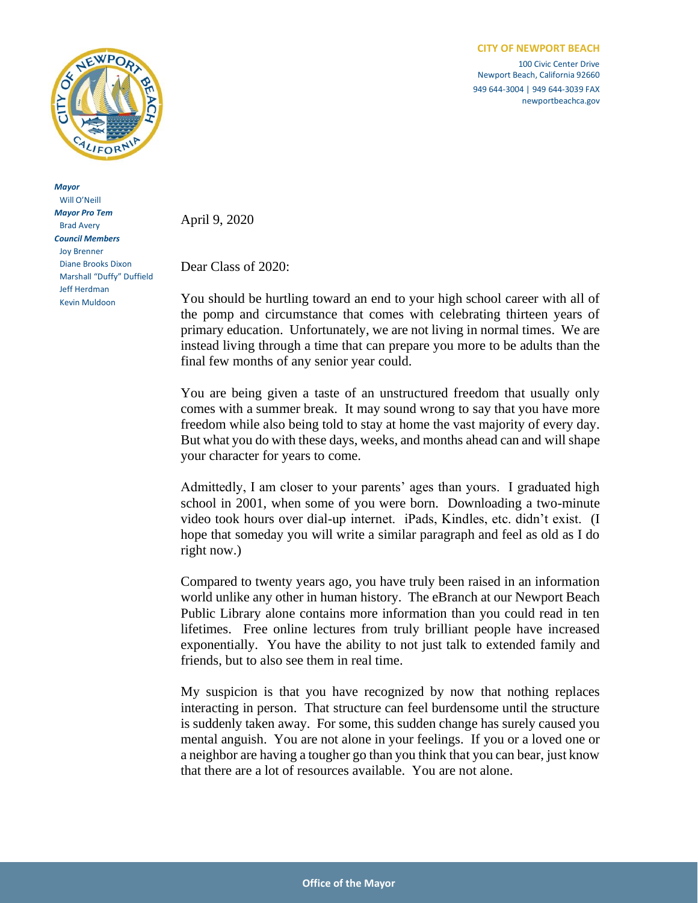

*Mayor* Will O'Neill *Mayor Pro Tem* Brad Avery *Council Members* Joy Brenner Diane Brooks Dixon Marshall "Duffy" Duffield Jeff Herdman Kevin Muldoon

100 Civic Center Drive Newport Beach, California 92660 949 644-3004 | 949 644-3039 FAX newportbeachca.gov

April 9, 2020

Dear Class of 2020:

You should be hurtling toward an end to your high school career with all of the pomp and circumstance that comes with celebrating thirteen years of primary education. Unfortunately, we are not living in normal times. We are instead living through a time that can prepare you more to be adults than the final few months of any senior year could.

You are being given a taste of an unstructured freedom that usually only comes with a summer break. It may sound wrong to say that you have more freedom while also being told to stay at home the vast majority of every day. But what you do with these days, weeks, and months ahead can and will shape your character for years to come.

Admittedly, I am closer to your parents' ages than yours. I graduated high school in 2001, when some of you were born. Downloading a two-minute video took hours over dial-up internet. iPads, Kindles, etc. didn't exist. (I hope that someday you will write a similar paragraph and feel as old as I do right now.)

Compared to twenty years ago, you have truly been raised in an information world unlike any other in human history. The eBranch at our Newport Beach Public Library alone contains more information than you could read in ten lifetimes. Free online lectures from truly brilliant people have increased exponentially. You have the ability to not just talk to extended family and friends, but to also see them in real time.

My suspicion is that you have recognized by now that nothing replaces interacting in person. That structure can feel burdensome until the structure is suddenly taken away. For some, this sudden change has surely caused you mental anguish. You are not alone in your feelings. If you or a loved one or a neighbor are having a tougher go than you think that you can bear, just know that there are a lot of resources available. You are not alone.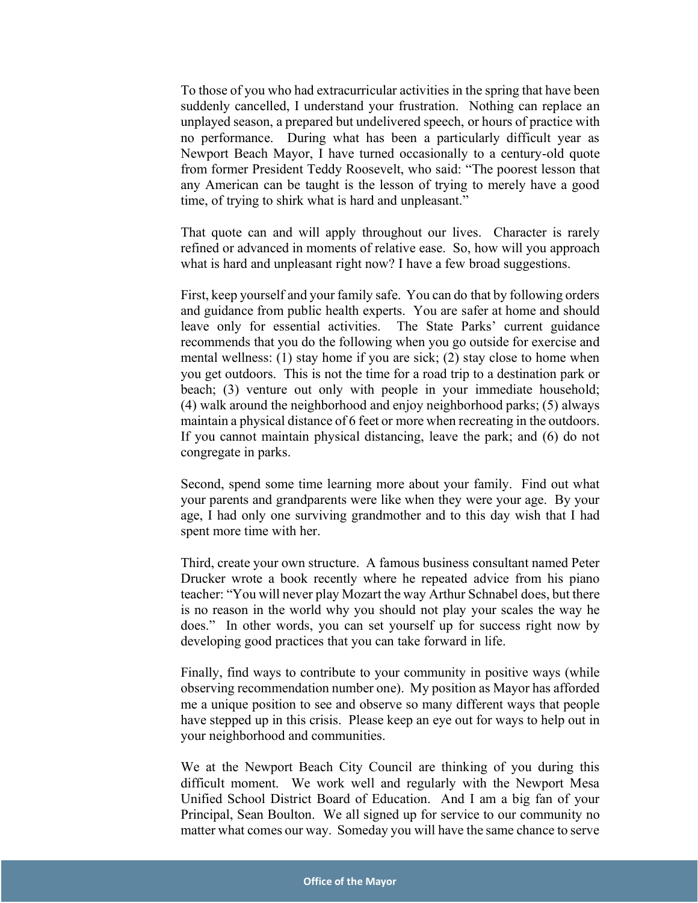To those of you who had extracurricular activities in the spring that have been suddenly cancelled, I understand your frustration. Nothing can replace an unplayed season, a prepared but undelivered speech, or hours of practice with no performance. During what has been a particularly difficult year as Newport Beach Mayor, I have turned occasionally to a century-old quote from former President Teddy Roosevelt, who said: "The poorest lesson that any American can be taught is the lesson of trying to merely have a good time, of trying to shirk what is hard and unpleasant."

That quote can and will apply throughout our lives. Character is rarely refined or advanced in moments of relative ease. So, how will you approach what is hard and unpleasant right now? I have a few broad suggestions.

First, keep yourself and your family safe. You can do that by following orders and guidance from public health experts. You are safer at home and should leave only for essential activities. The State Parks' current guidance recommends that you do the following when you go outside for exercise and mental wellness: (1) stay home if you are sick; (2) stay close to home when you get outdoors. This is not the time for a road trip to a destination park or beach; (3) venture out only with people in your immediate household; (4) walk around the neighborhood and enjoy neighborhood parks; (5) always maintain a physical distance of 6 feet or more when recreating in the outdoors. If you cannot maintain physical distancing, leave the park; and (6) do not congregate in parks.

Second, spend some time learning more about your family. Find out what your parents and grandparents were like when they were your age. By your age, I had only one surviving grandmother and to this day wish that I had spent more time with her.

Third, create your own structure. A famous business consultant named Peter Drucker wrote a book recently where he repeated advice from his piano teacher: "You will never play Mozart the way Arthur Schnabel does, but there is no reason in the world why you should not play your scales the way he does." In other words, you can set yourself up for success right now by developing good practices that you can take forward in life.

Finally, find ways to contribute to your community in positive ways (while observing recommendation number one). My position as Mayor has afforded me a unique position to see and observe so many different ways that people have stepped up in this crisis. Please keep an eye out for ways to help out in your neighborhood and communities.

We at the Newport Beach City Council are thinking of you during this difficult moment. We work well and regularly with the Newport Mesa Unified School District Board of Education. And I am a big fan of your Principal, Sean Boulton. We all signed up for service to our community no matter what comes our way. Someday you will have the same chance to serve